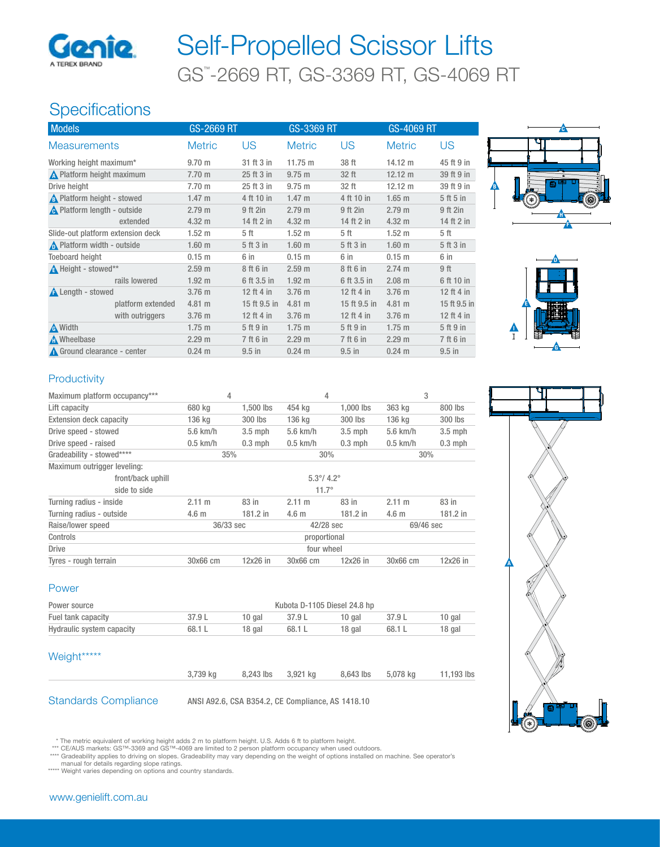

# GS™ -2669 RT, GS-3369 RT, GS-4069 RT Self-Propelled Scissor Lifts

# **Specifications**

| US<br>US<br>US<br><b>Metric</b><br><b>Metric</b><br><b>Metric</b><br><b>Measurements</b><br>Working height maximum*<br>31 ft 3 in<br>11.75 m<br>38 ft<br>$14.12 \text{ m}$<br>9.70 m<br>N Platform height maximum<br>25 ft 3 in<br>32 ft<br>$12.12 \text{ m}$<br>$7.70 \text{ m}$<br>$9.75 \text{ m}$<br>Drive height<br>7.70 m<br>25 ft 3 in<br>32 ft<br>$12.12 \text{ m}$<br>$9.75 \text{ m}$<br>A Platform height - stowed<br>4 ft 10 in<br>1.47 <sub>m</sub><br>$1.47 \text{ m}$<br>4 ft 10 in<br>$1.65$ m<br>A Platform length - outside<br>2.79 <sub>m</sub><br>9 ft 2in<br>2.79 <sub>m</sub><br>9 ft 2in<br>2.79 m<br>9 ft 2in<br>14 ft 2 in<br>extended<br>$4.32 \text{ m}$<br>14 ft 2 in<br>$4.32 \text{ m}$<br>$4.32 \text{ m}$ | <b>Models</b> | GS-2669 RT | GS-3369 RT       |      | GS-4069 RT        |              |
|-------------------------------------------------------------------------------------------------------------------------------------------------------------------------------------------------------------------------------------------------------------------------------------------------------------------------------------------------------------------------------------------------------------------------------------------------------------------------------------------------------------------------------------------------------------------------------------------------------------------------------------------------------------------------------------------------------------------------------------------|---------------|------------|------------------|------|-------------------|--------------|
|                                                                                                                                                                                                                                                                                                                                                                                                                                                                                                                                                                                                                                                                                                                                           |               |            |                  |      |                   |              |
|                                                                                                                                                                                                                                                                                                                                                                                                                                                                                                                                                                                                                                                                                                                                           |               |            |                  |      |                   | 45 ft 9 in   |
|                                                                                                                                                                                                                                                                                                                                                                                                                                                                                                                                                                                                                                                                                                                                           |               |            |                  |      |                   | 39 ft 9 in   |
|                                                                                                                                                                                                                                                                                                                                                                                                                                                                                                                                                                                                                                                                                                                                           |               |            |                  |      |                   | 39 ft 9 in   |
|                                                                                                                                                                                                                                                                                                                                                                                                                                                                                                                                                                                                                                                                                                                                           |               |            |                  |      |                   | 5 ft 5 in    |
|                                                                                                                                                                                                                                                                                                                                                                                                                                                                                                                                                                                                                                                                                                                                           |               |            |                  |      |                   |              |
|                                                                                                                                                                                                                                                                                                                                                                                                                                                                                                                                                                                                                                                                                                                                           |               |            |                  |      |                   | 14 ft 2 in   |
| Slide-out platform extension deck<br>1.52 <sub>m</sub>                                                                                                                                                                                                                                                                                                                                                                                                                                                                                                                                                                                                                                                                                    |               | 5 ft       | $1.52 \text{ m}$ | 5 ft | 1.52 <sub>m</sub> | 5 ft         |
| Platform width - outside<br>1.60 <sub>m</sub><br>5 ft 3 in<br>1.60 <sub>m</sub><br>5 ft 3 in<br>1.60 <sub>m</sub>                                                                                                                                                                                                                                                                                                                                                                                                                                                                                                                                                                                                                         |               |            |                  |      |                   | 5 ft 3 in    |
| <b>Toeboard height</b><br>0.15 <sub>m</sub><br>6 in<br>0.15 <sub>m</sub><br>6 in<br>0.15 m<br>6 in                                                                                                                                                                                                                                                                                                                                                                                                                                                                                                                                                                                                                                        |               |            |                  |      |                   |              |
| A Height - stowed**<br>9 ft<br>2.74 m<br>2.59 <sub>m</sub><br>8 ft 6 in<br>2.59 <sub>m</sub><br>8 ft 6 in                                                                                                                                                                                                                                                                                                                                                                                                                                                                                                                                                                                                                                 |               |            |                  |      |                   |              |
| rails lowered<br>1.92 <sub>m</sub><br>1.92 <sub>m</sub><br>$2.08$ m<br>6 ft 3.5 in<br>6 ft 3.5 in                                                                                                                                                                                                                                                                                                                                                                                                                                                                                                                                                                                                                                         |               |            |                  |      |                   | 6 ft 10 in   |
| <b>A</b> Length - stowed<br>3.76 <sub>m</sub><br>12 ft 4 in<br>3.76 m<br>12 ft 4 in<br>3.76 <sub>m</sub>                                                                                                                                                                                                                                                                                                                                                                                                                                                                                                                                                                                                                                  |               |            |                  |      |                   | 12 ft 4 in   |
| $4.81$ m<br>15 ft 9.5 in<br>4.81 m<br>15 ft 9.5 in<br>$4.81 \text{ m}$<br>platform extended                                                                                                                                                                                                                                                                                                                                                                                                                                                                                                                                                                                                                                               |               |            |                  |      |                   | 15 ft 9.5 in |
| with outriggers<br>3.76 m<br>12 ft 4 in<br>12 ft 4 in<br>3.76 <sub>m</sub><br>3.76 <sub>m</sub>                                                                                                                                                                                                                                                                                                                                                                                                                                                                                                                                                                                                                                           |               |            |                  |      |                   | 12 ft 4 in   |
| A Width<br>$1.75 \text{ m}$<br>5 ft 9 in<br>$1.75 \text{ m}$<br>5 ft 9 in<br>$1.75 \text{ m}$                                                                                                                                                                                                                                                                                                                                                                                                                                                                                                                                                                                                                                             |               |            |                  |      |                   | 5 ft 9 in    |
| A Wheelbase<br>2.29 m<br>7 ft 6 in<br>2.29 m<br>7 ft 6 in<br>2.29 m                                                                                                                                                                                                                                                                                                                                                                                                                                                                                                                                                                                                                                                                       |               |            |                  |      |                   | 7 ft 6 in    |
| Ground clearance - center<br>$0.24 \text{ m}$<br>$9.5$ in<br>$0.24 \text{ m}$<br>$9.5$ in<br>$0.24 \text{ m}$<br>$9.5$ in                                                                                                                                                                                                                                                                                                                                                                                                                                                                                                                                                                                                                 |               |            |                  |      |                   |              |





### **Productivity**

| Maximum platform occupancy***  | 4                      |             | 4                          |            | 3                |           |
|--------------------------------|------------------------|-------------|----------------------------|------------|------------------|-----------|
| Lift capacity                  | 680 kg                 | $1.500$ lbs | 454 kg                     | 1.000 lbs  | 363 kg           | 800 lbs   |
| <b>Extension deck capacity</b> | 136 kg                 | 300 lbs     | 136 kg                     | 300 lbs    | 136 kg           | 300 lbs   |
| Drive speed - stowed           | $5.6$ km/h             | $3.5$ mph   | $5.6$ km/h                 | $3.5$ mph  | $5.6$ km/h       | $3.5$ mph |
| Drive speed - raised           | $0.5$ km/h             | $0.3$ mph   | $0.5$ km/h                 | $0.3$ mph  | $0.5$ km/h       | $0.3$ mph |
| Gradeability - stowed****      | 35%                    |             | 30%                        |            | 30%              |           |
| Maximum outrigger leveling:    |                        |             |                            |            |                  |           |
| front/back uphill              |                        |             | $5.3^{\circ}/ 4.2^{\circ}$ |            |                  |           |
| side to side                   |                        |             | $11.7^{\circ}$             |            |                  |           |
| Turning radius - inside        | 2.11 m                 | 83 in       | $2.11 \text{ m}$           | 83 in      | 2.11 m           | 83 in     |
| Turning radius - outside       | 4.6 <sub>m</sub>       | 181.2 in    | 4.6 <sub>m</sub>           | $181.2$ in | 4.6 <sub>m</sub> | 181.2 in  |
| Raise/lower speed              | 36/33 sec<br>42/28 sec |             |                            | 69/46 sec  |                  |           |
| Controls                       | proportional           |             |                            |            |                  |           |
| <b>Drive</b>                   | four wheel             |             |                            |            |                  |           |
| Tyres - rough terrain          | 30x66 cm               | $12x26$ in  | 30x66 cm                   | 12x26 in   | 30x66 cm         | 12x26 in  |

#### Power

| Kubota D-1105 Diesel 24.8 hp<br>Power source |        |        |        |        |        |        |
|----------------------------------------------|--------|--------|--------|--------|--------|--------|
| Fuel tank capacity                           | 37.9L  | 10 gal | 37.9 L | 10 gal | 37.9 L | 10 gal |
| Hydraulic system capacity                    | 68.1 L | 18 gal | 68.1 L | 18 gal | 68.1 L | 18 gal |

#### Weight\*\*\*\*\*

| cigni |          |                    |                    |            |
|-------|----------|--------------------|--------------------|------------|
|       | 3.739 ka | 8,243 lbs 3,921 kg | 8,643 lbs 5,078 kg | 11,193 lbs |
|       |          |                    |                    |            |

Standards Compliance ANSI A92.6, CSA B354.2, CE Compliance, AS 1418.10

- \* The metric equivalent of working height adds 2 m to platform height. U.S. Adds 6 ft to platform height. \*\*\* CE/AUS markets: GS™-3369 and GS™-4069 are limited to 2 person platform occupancy when used outdoors.
- \*\*\*\* Gradeability applies to driving on slopes. Gradeability may vary depending on the weight of options installed on machine. See operator's

manual for details regarding slope ratings. \*\*\*\*\* Weight varies depending on options and country standards.